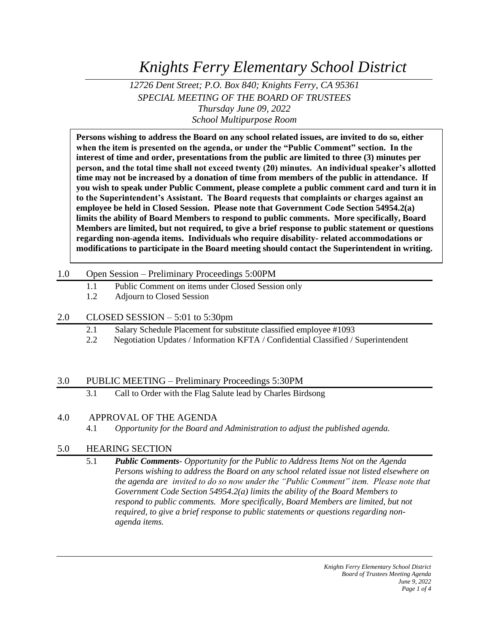*Knights Ferry Elementary School District*

*12726 Dent Street; P.O. Box 840; Knights Ferry, CA 95361 SPECIAL MEETING OF THE BOARD OF TRUSTEES Thursday June 09, 2022 School Multipurpose Room*

**Persons wishing to address the Board on any school related issues, are invited to do so, either when the item is presented on the agenda, or under the "Public Comment" section. In the interest of time and order, presentations from the public are limited to three (3) minutes per person, and the total time shall not exceed twenty (20) minutes. An individual speaker's allotted time may not be increased by a donation of time from members of the public in attendance. If you wish to speak under Public Comment, please complete a public comment card and turn it in to the Superintendent's Assistant. The Board requests that complaints or charges against an employee be held in Closed Session. Please note that Government Code Section 54954.2(a) limits the ability of Board Members to respond to public comments. More specifically, Board Members are limited, but not required, to give a brief response to public statement or questions regarding non-agenda items. Individuals who require disability- related accommodations or modifications to participate in the Board meeting should contact the Superintendent in writing.**

#### 1.0 Open Session – Preliminary Proceedings 5:00PM

- 1.1 Public Comment on items under Closed Session only
- 1.2 Adjourn to Closed Session

## 2.0 CLOSED SESSION – 5:01 to 5:30pm

- 2.1 Salary Schedule Placement for substitute classified employee #1093
- 2.2 Negotiation Updates / Information KFTA / Confidential Classified / Superintendent

## 3.0 PUBLIC MEETING – Preliminary Proceedings 5:30PM

3.1 Call to Order with the Flag Salute lead by Charles Birdsong

## 4.0 APPROVAL OF THE AGENDA

4.1 *Opportunity for the Board and Administration to adjust the published agenda.*

## 5.0 HEARING SECTION

5.1 *Public Comments- Opportunity for the Public to Address Items Not on the Agenda Persons wishing to address the Board on any school related issue not listed elsewhere on the agenda are invited to do so now under the "Public Comment" item. Please note that Government Code Section 54954.2(a) limits the ability of the Board Members to*  respond to public comments. More specifically, Board Members are limited, but not *required, to give a brief response to public statements or questions regarding nonagenda items.*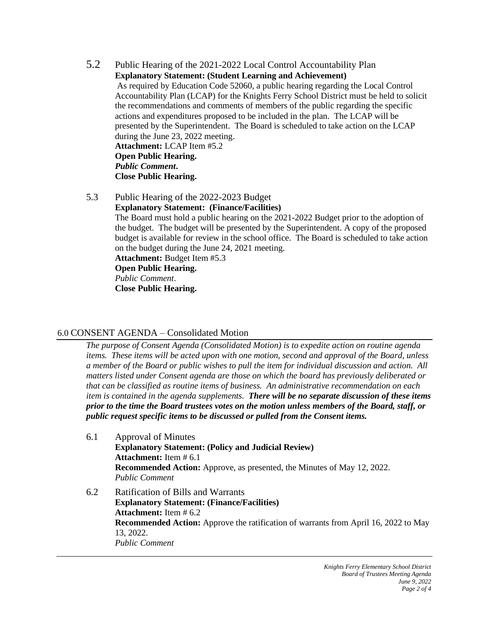- 5.2 Public Hearing of the 2021-2022 Local Control Accountability Plan **Explanatory Statement: (Student Learning and Achievement)** As required by Education Code 52060, a public hearing regarding the Local Control Accountability Plan (LCAP) for the Knights Ferry School District must be held to solicit the recommendations and comments of members of the public regarding the specific actions and expenditures proposed to be included in the plan. The LCAP will be presented by the Superintendent. The Board is scheduled to take action on the LCAP during the June 23, 2022 meeting. **Attachment:** LCAP Item #5.2 **Open Public Hearing.** *Public Comment***. Close Public Hearing.**
- 5.3 Public Hearing of the 2022-2023 Budget **Explanatory Statement: (Finance/Facilities)** The Board must hold a public hearing on the 2021-2022 Budget prior to the adoption of the budget. The budget will be presented by the Superintendent. A copy of the proposed budget is available for review in the school office. The Board is scheduled to take action on the budget during the June 24, 2021 meeting. **Attachment:** Budget Item #5.3 **Open Public Hearing.** *Public Comment*. **Close Public Hearing.**

#### 6.0 CONSENT AGENDA – Consolidated Motion

*The purpose of Consent Agenda (Consolidated Motion) is to expedite action on routine agenda items. These items will be acted upon with one motion, second and approval of the Board, unless a member of the Board or public wishes to pull the item for individual discussion and action. All matters listed under Consent agenda are those on which the board has previously deliberated or that can be classified as routine items of business. An administrative recommendation on each item is contained in the agenda supplements. There will be no separate discussion of these items prior to the time the Board trustees votes on the motion unless members of the Board, staff, or public request specific items to be discussed or pulled from the Consent items.*

- 6.1 Approval of Minutes **Explanatory Statement: (Policy and Judicial Review) Attachment:** Item # 6.1 **Recommended Action:** Approve, as presented, the Minutes of May 12, 2022. *Public Comment*
- 6.2 Ratification of Bills and Warrants **Explanatory Statement: (Finance/Facilities) Attachment:** Item # 6.2 **Recommended Action:** Approve the ratification of warrants from April 16, 2022 to May 13, 2022. *Public Comment*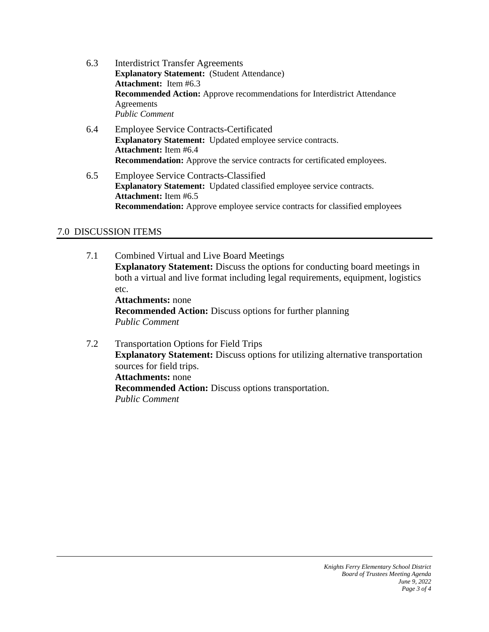- 6.3 Interdistrict Transfer Agreements **Explanatory Statement:** (Student Attendance) **Attachment:** Item #6.3 **Recommended Action:** Approve recommendations for Interdistrict Attendance Agreements *Public Comment*
- 6.4 Employee Service Contracts-Certificated **Explanatory Statement:** Updated employee service contracts. **Attachment:** Item #6.4 **Recommendation:** Approve the service contracts for certificated employees.
- 6.5 Employee Service Contracts-Classified **Explanatory Statement:** Updated classified employee service contracts. **Attachment:** Item #6.5 **Recommendation:** Approve employee service contracts for classified employees

# 7.0 DISCUSSION ITEMS

- 7.1 Combined Virtual and Live Board Meetings **Explanatory Statement:** Discuss the options for conducting board meetings in both a virtual and live format including legal requirements, equipment, logistics etc. **Attachments:** none **Recommended Action:** Discuss options for further planning *Public Comment*
- 7.2 Transportation Options for Field Trips **Explanatory Statement:** Discuss options for utilizing alternative transportation sources for field trips. **Attachments:** none **Recommended Action:** Discuss options transportation. *Public Comment*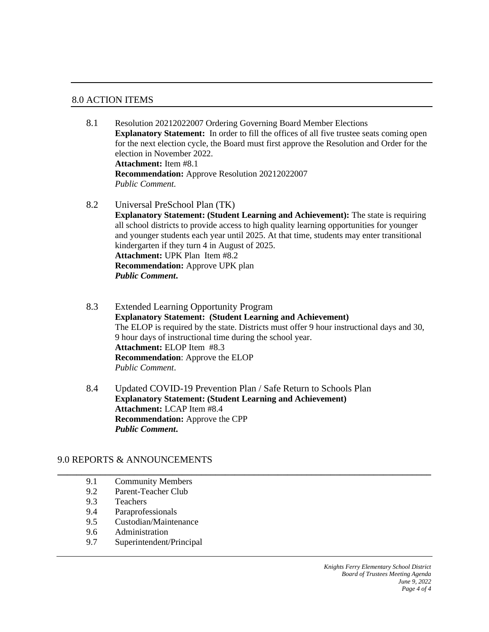#### 8.0 ACTION ITEMS

- 8.1 Resolution 20212022007 Ordering Governing Board Member Elections **Explanatory Statement:** In order to fill the offices of all five trustee seats coming open for the next election cycle, the Board must first approve the Resolution and Order for the election in November 2022. **Attachment:** Item #8.1 **Recommendation:** Approve Resolution 20212022007 *Public Comment.*
- 8.2 Universal PreSchool Plan (TK) **Explanatory Statement: (Student Learning and Achievement):** The state is requiring all school districts to provide access to high quality learning opportunities for younger and younger students each year until 2025. At that time, students may enter transitional kindergarten if they turn 4 in August of 2025. **Attachment:** UPK Plan Item #8.2 **Recommendation:** Approve UPK plan *Public Comment***.**
- 8.3 Extended Learning Opportunity Program **Explanatory Statement: (Student Learning and Achievement)** The ELOP is required by the state. Districts must offer 9 hour instructional days and 30, 9 hour days of instructional time during the school year. **Attachment:** ELOP Item #8.3 **Recommendation**: Approve the ELOP *Public Comment*.
- 8.4 Updated COVID-19 Prevention Plan / Safe Return to Schools Plan **Explanatory Statement: (Student Learning and Achievement) Attachment:** LCAP Item #8.4 **Recommendation:** Approve the CPP *Public Comment***.**

**\_\_\_\_\_\_\_\_\_\_\_\_\_\_\_\_\_\_\_\_\_\_\_\_\_\_\_\_\_\_\_\_\_\_\_\_\_\_\_\_\_\_\_\_\_\_\_\_\_\_\_\_\_\_\_\_\_\_\_\_\_\_\_\_\_\_\_\_\_\_\_\_\_\_\_\_\_\_**

## 9.0 REPORTS & ANNOUNCEMENTS

- 9.1 Community Members 9.2 Parent-Teacher Club
- 9.3 Teachers
- 9.4 Paraprofessionals
- 9.5 Custodian/Maintenance
- 9.6 Administration
- 9.7 Superintendent/Principal